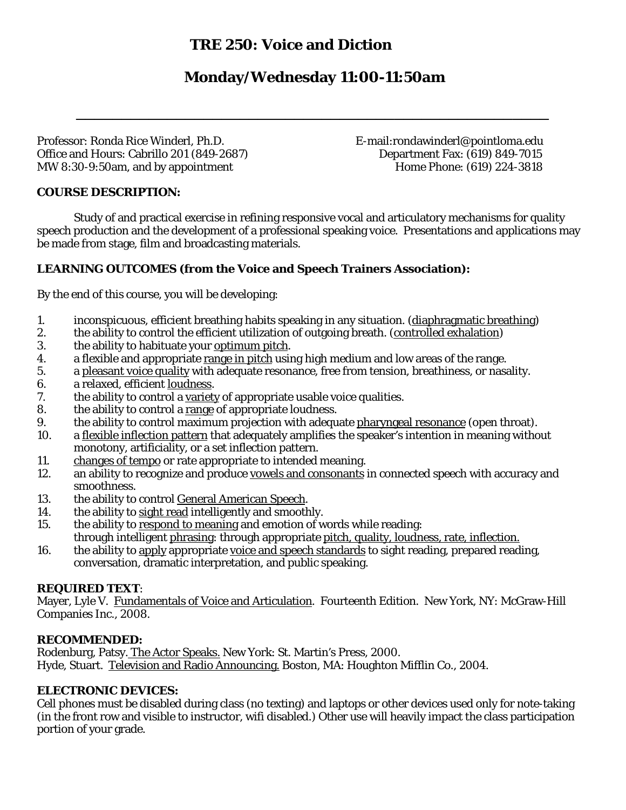# **TRE 250: Voice and Diction**

# **Monday/Wednesday 11:00-11:50am**

\_\_\_\_\_\_\_\_\_\_\_\_\_\_\_\_\_\_\_\_\_\_\_\_\_\_\_\_\_\_\_\_\_\_\_\_\_\_\_\_\_\_\_\_\_\_\_\_\_\_\_\_

Professor: Ronda Rice Winderl, Ph.D. The Superintensity of E-mail:rondawinderl@pointloma.edu Office and Hours: Cabrillo 201 (849-2687) Department Fax: (619) 849-7015 MW 8:30-9:50am, and by appointment Home Phone: (619) 224-3818

### **COURSE DESCRIPTION:**

Study of and practical exercise in refining responsive vocal and articulatory mechanisms for quality speech production and the development of a professional speaking voice. Presentations and applications may be made from stage, film and broadcasting materials.

## **LEARNING OUTCOMES (from the Voice and Speech Trainers Association):**

By the end of this course, you will be developing:

- 1. inconspicuous, efficient breathing habits speaking in any situation. (diaphragmatic breathing)
- 2. the ability to control the efficient utilization of outgoing breath. (controlled exhalation)
- 3. the ability to habituate your optimum pitch.
- 4. a flexible and appropriate range in pitch using high medium and low areas of the range.
- 5. a pleasant voice quality with adequate resonance, free from tension, breathiness, or nasality.
- 6. a relaxed, efficient loudness.
- 7. the ability to control a variety of appropriate usable voice qualities.
- 8. the ability to control a range of appropriate loudness.
- 9. the ability to control maximum projection with adequate pharyngeal resonance (open throat).
- 10. a flexible inflection pattern that adequately amplifies the speaker's intention in meaning without monotony, artificiality, or a set inflection pattern.
- 11. changes of tempo or rate appropriate to intended meaning.
- 12. an ability to recognize and produce vowels and consonants in connected speech with accuracy and smoothness.
- 13. the ability to control General American Speech.
- 14. the ability to sight read intelligently and smoothly.
- 15. the ability to respond to meaning and emotion of words while reading: through intelligent phrasing: through appropriate pitch, quality, loudness, rate, inflection.
- 16. the ability to apply appropriate voice and speech standards to sight reading, prepared reading, conversation, dramatic interpretation, and public speaking.

#### **REQUIRED TEXT**:

Mayer, Lyle V. Fundamentals of Voice and Articulation. Fourteenth Edition. New York, NY: McGraw-Hill Companies Inc., 2008.

#### **RECOMMENDED:**

Rodenburg, Patsy. The Actor Speaks. New York: St. Martin's Press, 2000*.* Hyde, Stuart. Television and Radio Announcing. Boston, MA: Houghton Mifflin Co., 2004.

### **ELECTRONIC DEVICES:**

Cell phones must be disabled during class (no texting) and laptops or other devices used only for note-taking (in the front row and visible to instructor, wifi disabled.) Other use will heavily impact the class participation portion of your grade.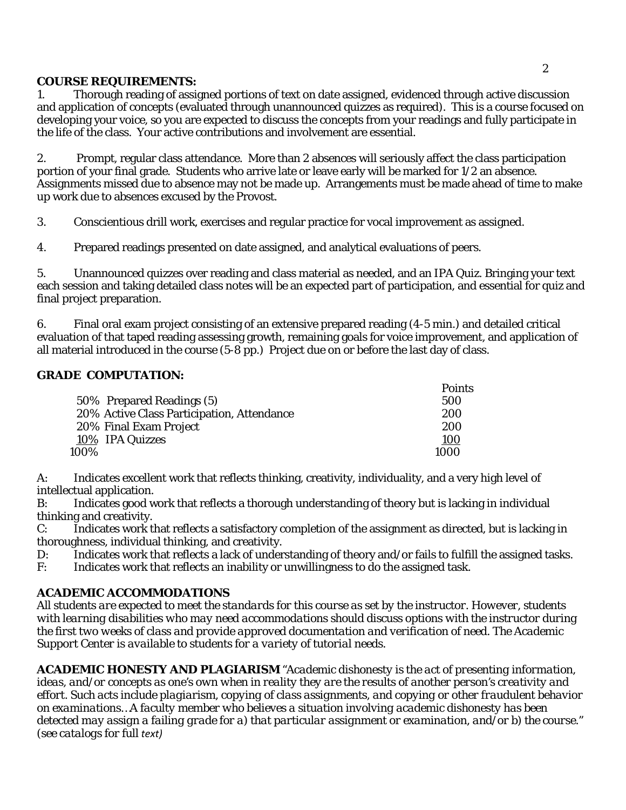## **COURSE REQUIREMENTS:**

1. Thorough reading of assigned portions of text on date assigned, evidenced through active discussion and application of concepts (evaluated through unannounced quizzes as required). This is a course focused on developing your voice, so you are expected to discuss the concepts from your readings and fully participate in the life of the class. Your active contributions and involvement are essential.

2. Prompt, regular class attendance. More than 2 absences will seriously affect the class participation portion of your final grade. Students who arrive late or leave early will be marked for 1/2 an absence. Assignments missed due to absence may not be made up. Arrangements must be made ahead of time to make up work due to absences excused by the Provost.

3. Conscientious drill work, exercises and regular practice for vocal improvement as assigned.

4. Prepared readings presented on date assigned, and analytical evaluations of peers.

5. Unannounced quizzes over reading and class material as needed, and an IPA Quiz. Bringing your text each session and taking detailed class notes will be an expected part of participation, and essential for quiz and final project preparation.

6. Final oral exam project consisting of an extensive prepared reading (4-5 min.) and detailed critical evaluation of that taped reading assessing growth, remaining goals for voice improvement, and application of all material introduced in the course (5-8 pp.) Project due on or before the last day of class.

### **GRADE COMPUTATION:**

|                                            | <b>Points</b> |
|--------------------------------------------|---------------|
| 50% Prepared Readings (5)                  | 500           |
| 20% Active Class Participation, Attendance | <b>200</b>    |
| 20% Final Exam Project                     | 200           |
| 10% IPA Quizzes                            | <u>100</u>    |
| 100%                                       | 1000          |

A: Indicates excellent work that reflects thinking, creativity, individuality, and a very high level of intellectual application.

B: Indicates good work that reflects a thorough understanding of theory but is lacking in individual thinking and creativity.

C: Indicates work that reflects a satisfactory completion of the assignment as directed, but is lacking in thoroughness, individual thinking, and creativity.

D: Indicates work that reflects a lack of understanding of theory and/or fails to fulfill the assigned tasks.

F: Indicates work that reflects an inability or unwillingness to do the assigned task.

### **ACADEMIC ACCOMMODATIONS**

*All students are expected to meet the standards for this course as set by the instructor. However, students with learning disabilities who may need accommodations should discuss options with the instructor during the first two weeks of class and provide approved documentation and verification of need. The Academic Support Center is available to students for a variety of tutorial needs.*

**ACADEMIC HONESTY AND PLAGIARISM** *"Academic dishonesty is the act of presenting information, ideas, and/or concepts as one's own when in reality they are the results of another person's creativity and effort. Such acts include plagiarism, copying of class assignments, and copying or other fraudulent behavior on examinations…A faculty member who believes a situation involving academic dishonesty has been detected may assign a failing grade for a) that particular assignment or examination, and/or b) the course." (see catalogs for full text)*